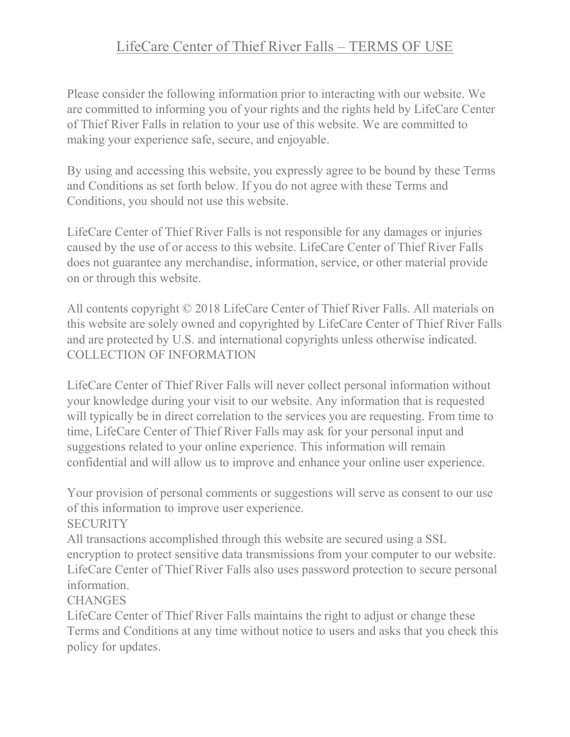# LifeCare Center of Thief River Falls – TERMS OF USE

Please consider the following information prior to interacting with our website. We are committed to informing you of your rights and the rights held by LifeCare Center of Thief River Falls in relation to your use of this website. We are committed to making your experience safe, secure, and enjoyable.

By using and accessing this website, you expressly agree to be bound by these Terms and Conditions as set forth below. If you do not agree with these Terms and Conditions, you should not use this website.

LifeCare Center of Thief River Falls is not responsible for any damages or injuries caused by the use of or access to this website. LifeCare Center of Thief River Falls does not guarantee any merchandise, information, service, or other material provide on or through this website.

All contents copyright © 2018 LifeCare Center of Thief River Falls. All materials on this website are solely owned and copyrighted by LifeCare Center of Thief River Falls and are protected by U.S. and international copyrights unless otherwise indicated. COLLECTION OF INFORMATION

LifeCare Center of Thief River Falls will never collect personal information without your knowledge during your visit to our website. Any information that is requested will typically be in direct correlation to the services you are requesting. From time to time, LifeCare Center of Thief River Falls may ask for your personal input and suggestions related to your online experience. This information will remain confidential and will allow us to improve and enhance your online user experience.

Your provision of personal comments or suggestions will serve as consent to our use of this information to improve user experience.

**SECURITY** 

All transactions accomplished through this website are secured using a SSL encryption to protect sensitive data transmissions from your computer to our website. LifeCare Center of Thief River Falls also uses password protection to secure personal information.

**CHANGES** 

LifeCare Center of Thief River Falls maintains the right to adjust or change these Terms and Conditions at any time without notice to users and asks that you check this policy for updates.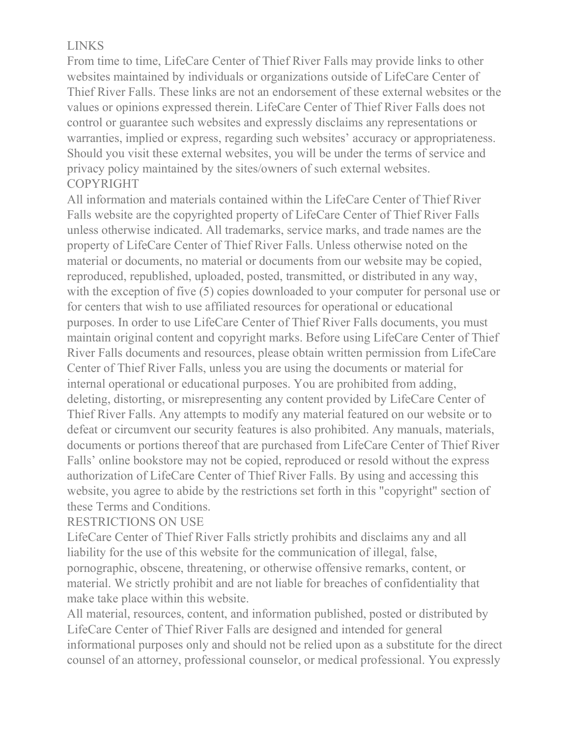## LINKS

From time to time, LifeCare Center of Thief River Falls may provide links to other websites maintained by individuals or organizations outside of LifeCare Center of Thief River Falls. These links are not an endorsement of these external websites or the values or opinions expressed therein. LifeCare Center of Thief River Falls does not control or guarantee such websites and expressly disclaims any representations or warranties, implied or express, regarding such websites' accuracy or appropriateness. Should you visit these external websites, you will be under the terms of service and privacy policy maintained by the sites/owners of such external websites. COPYRIGHT

All information and materials contained within the LifeCare Center of Thief River Falls website are the copyrighted property of LifeCare Center of Thief River Falls unless otherwise indicated. All trademarks, service marks, and trade names are the property of LifeCare Center of Thief River Falls. Unless otherwise noted on the material or documents, no material or documents from our website may be copied, reproduced, republished, uploaded, posted, transmitted, or distributed in any way, with the exception of five (5) copies downloaded to your computer for personal use or for centers that wish to use affiliated resources for operational or educational purposes. In order to use LifeCare Center of Thief River Falls documents, you must maintain original content and copyright marks. Before using LifeCare Center of Thief River Falls documents and resources, please obtain written permission from LifeCare Center of Thief River Falls, unless you are using the documents or material for internal operational or educational purposes. You are prohibited from adding, deleting, distorting, or misrepresenting any content provided by LifeCare Center of Thief River Falls. Any attempts to modify any material featured on our website or to defeat or circumvent our security features is also prohibited. Any manuals, materials, documents or portions thereof that are purchased from LifeCare Center of Thief River Falls' online bookstore may not be copied, reproduced or resold without the express authorization of LifeCare Center of Thief River Falls. By using and accessing this website, you agree to abide by the restrictions set forth in this "copyright" section of these Terms and Conditions.

### RESTRICTIONS ON USE

LifeCare Center of Thief River Falls strictly prohibits and disclaims any and all liability for the use of this website for the communication of illegal, false, pornographic, obscene, threatening, or otherwise offensive remarks, content, or material. We strictly prohibit and are not liable for breaches of confidentiality that make take place within this website.

All material, resources, content, and information published, posted or distributed by LifeCare Center of Thief River Falls are designed and intended for general informational purposes only and should not be relied upon as a substitute for the direct counsel of an attorney, professional counselor, or medical professional. You expressly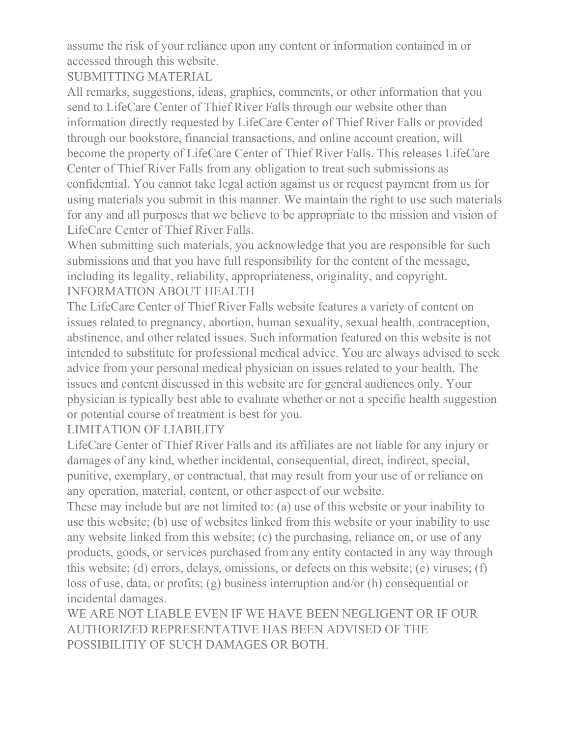assume the risk of your reliance upon any content or information contained in or accessed through this website.

SUBMITTING MATERIAL

All remarks, suggestions, ideas, graphics, comments, or other information that you send to LifeCare Center of Thief River Falls through our website other than information directly requested by LifeCare Center of Thief River Falls or provided through our bookstore, financial transactions, and online account creation, will become the property of LifeCare Center of Thief River Falls. This releases LifeCare Center of Thief River Falls from any obligation to treat such submissions as confidential. You cannot take legal action against us or request payment from us for using materials you submit in this manner. We maintain the right to use such materials for any and all purposes that we believe to be appropriate to the mission and vision of LifeCare Center of Thief River Falls.

When submitting such materials, you acknowledge that you are responsible for such submissions and that you have full responsibility for the content of the message, including its legality, reliability, appropriateness, originality, and copyright. INFORMATION ABOUT HEALTH

The LifeCare Center of Thief River Falls website features a variety of content on issues related to pregnancy, abortion, human sexuality, sexual health, contraception, abstinence, and other related issues. Such information featured on this website is not intended to substitute for professional medical advice. You are always advised to seek advice from your personal medical physician on issues related to your health. The issues and content discussed in this website are for general audiences only. Your physician is typically best able to evaluate whether or not a specific health suggestion or potential course of treatment is best for you.

LIMITATION OF LIABILITY

LifeCare Center of Thief River Falls and its affiliates are not liable for any injury or damages of any kind, whether incidental, consequential, direct, indirect, special, punitive, exemplary, or contractual, that may result from your use of or reliance on any operation, material, content, or other aspect of our website.

These may include but are not limited to: (a) use of this website or your inability to use this website; (b) use of websites linked from this website or your inability to use any website linked from this website; (c) the purchasing, reliance on, or use of any products, goods, or services purchased from any entity contacted in any way through this website; (d) errors, delays, omissions, or defects on this website; (e) viruses; (f) loss of use, data, or profits; (g) business interruption and/or (h) consequential or incidental damages.

WE ARE NOT LIABLE EVEN IF WE HAVE BEEN NEGLIGENT OR IF OUR AUTHORIZED REPRESENTATIVE HAS BEEN ADVISED OF THE POSSIBILITIY OF SUCH DAMAGES OR BOTH.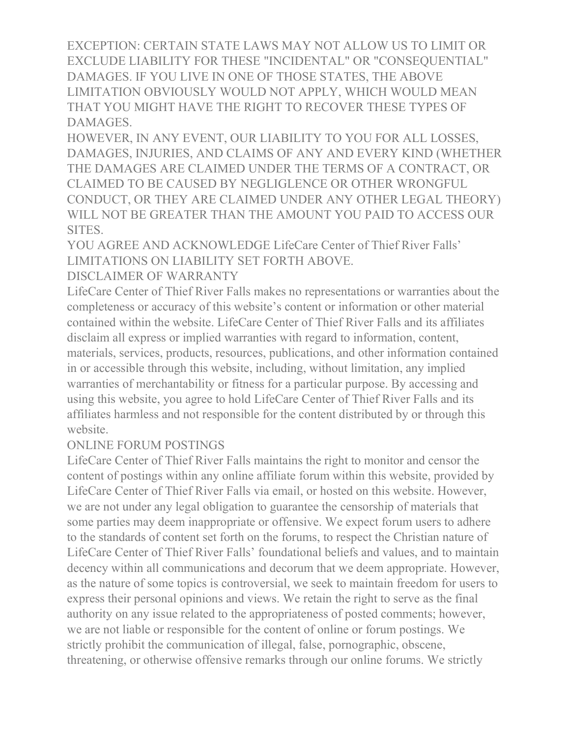EXCEPTION: CERTAIN STATE LAWS MAY NOT ALLOW US TO LIMIT OR EXCLUDE LIABILITY FOR THESE "INCIDENTAL" OR "CONSEQUENTIAL" DAMAGES. IF YOU LIVE IN ONE OF THOSE STATES, THE ABOVE LIMITATION OBVIOUSLY WOULD NOT APPLY, WHICH WOULD MEAN THAT YOU MIGHT HAVE THE RIGHT TO RECOVER THESE TYPES OF DAMAGES.

HOWEVER, IN ANY EVENT, OUR LIABILITY TO YOU FOR ALL LOSSES, DAMAGES, INJURIES, AND CLAIMS OF ANY AND EVERY KIND (WHETHER THE DAMAGES ARE CLAIMED UNDER THE TERMS OF A CONTRACT, OR CLAIMED TO BE CAUSED BY NEGLIGLENCE OR OTHER WRONGFUL CONDUCT, OR THEY ARE CLAIMED UNDER ANY OTHER LEGAL THEORY) WILL NOT BE GREATER THAN THE AMOUNT YOU PAID TO ACCESS OUR SITES.

YOU AGREE AND ACKNOWLEDGE LifeCare Center of Thief River Falls' LIMITATIONS ON LIABILITY SET FORTH ABOVE.

#### DISCLAIMER OF WARRANTY

LifeCare Center of Thief River Falls makes no representations or warranties about the completeness or accuracy of this website's content or information or other material contained within the website. LifeCare Center of Thief River Falls and its affiliates disclaim all express or implied warranties with regard to information, content, materials, services, products, resources, publications, and other information contained in or accessible through this website, including, without limitation, any implied warranties of merchantability or fitness for a particular purpose. By accessing and using this website, you agree to hold LifeCare Center of Thief River Falls and its affiliates harmless and not responsible for the content distributed by or through this website.

#### ONLINE FORUM POSTINGS

LifeCare Center of Thief River Falls maintains the right to monitor and censor the content of postings within any online affiliate forum within this website, provided by LifeCare Center of Thief River Falls via email, or hosted on this website. However, we are not under any legal obligation to guarantee the censorship of materials that some parties may deem inappropriate or offensive. We expect forum users to adhere to the standards of content set forth on the forums, to respect the Christian nature of LifeCare Center of Thief River Falls' foundational beliefs and values, and to maintain decency within all communications and decorum that we deem appropriate. However, as the nature of some topics is controversial, we seek to maintain freedom for users to express their personal opinions and views. We retain the right to serve as the final authority on any issue related to the appropriateness of posted comments; however, we are not liable or responsible for the content of online or forum postings. We strictly prohibit the communication of illegal, false, pornographic, obscene, threatening, or otherwise offensive remarks through our online forums. We strictly